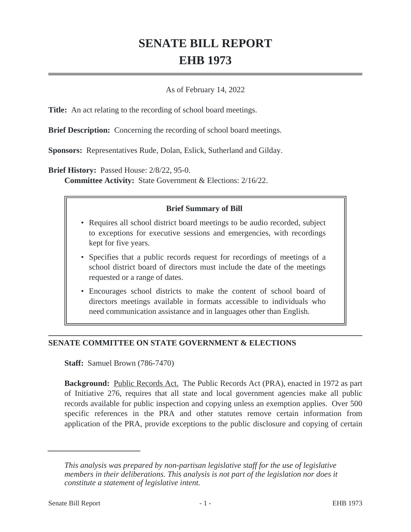# **SENATE BILL REPORT EHB 1973**

### As of February 14, 2022

**Title:** An act relating to the recording of school board meetings.

**Brief Description:** Concerning the recording of school board meetings.

**Sponsors:** Representatives Rude, Dolan, Eslick, Sutherland and Gilday.

**Brief History:** Passed House: 2/8/22, 95-0.

**Committee Activity:** State Government & Elections: 2/16/22.

### **Brief Summary of Bill**

- Requires all school district board meetings to be audio recorded, subject to exceptions for executive sessions and emergencies, with recordings kept for five years.
- Specifies that a public records request for recordings of meetings of a school district board of directors must include the date of the meetings requested or a range of dates.
- Encourages school districts to make the content of school board of directors meetings available in formats accessible to individuals who need communication assistance and in languages other than English.

#### **SENATE COMMITTEE ON STATE GOVERNMENT & ELECTIONS**

**Staff:** Samuel Brown (786-7470)

**Background:** Public Records Act. The Public Records Act (PRA), enacted in 1972 as part of Initiative 276, requires that all state and local government agencies make all public records available for public inspection and copying unless an exemption applies. Over 500 specific references in the PRA and other statutes remove certain information from application of the PRA, provide exceptions to the public disclosure and copying of certain

*This analysis was prepared by non-partisan legislative staff for the use of legislative members in their deliberations. This analysis is not part of the legislation nor does it constitute a statement of legislative intent.*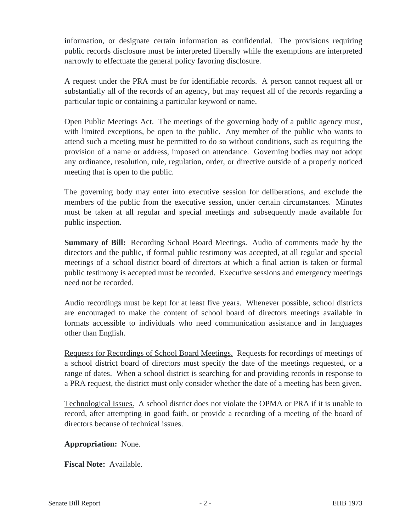information, or designate certain information as confidential. The provisions requiring public records disclosure must be interpreted liberally while the exemptions are interpreted narrowly to effectuate the general policy favoring disclosure.

A request under the PRA must be for identifiable records. A person cannot request all or substantially all of the records of an agency, but may request all of the records regarding a particular topic or containing a particular keyword or name.

Open Public Meetings Act. The meetings of the governing body of a public agency must, with limited exceptions, be open to the public. Any member of the public who wants to attend such a meeting must be permitted to do so without conditions, such as requiring the provision of a name or address, imposed on attendance. Governing bodies may not adopt any ordinance, resolution, rule, regulation, order, or directive outside of a properly noticed meeting that is open to the public.

The governing body may enter into executive session for deliberations, and exclude the members of the public from the executive session, under certain circumstances. Minutes must be taken at all regular and special meetings and subsequently made available for public inspection.

**Summary of Bill:** Recording School Board Meetings. Audio of comments made by the directors and the public, if formal public testimony was accepted, at all regular and special meetings of a school district board of directors at which a final action is taken or formal public testimony is accepted must be recorded. Executive sessions and emergency meetings need not be recorded.

Audio recordings must be kept for at least five years. Whenever possible, school districts are encouraged to make the content of school board of directors meetings available in formats accessible to individuals who need communication assistance and in languages other than English.

Requests for Recordings of School Board Meetings. Requests for recordings of meetings of a school district board of directors must specify the date of the meetings requested, or a range of dates. When a school district is searching for and providing records in response to a PRA request, the district must only consider whether the date of a meeting has been given.

Technological Issues. A school district does not violate the OPMA or PRA if it is unable to record, after attempting in good faith, or provide a recording of a meeting of the board of directors because of technical issues.

**Appropriation:** None.

**Fiscal Note:** Available.